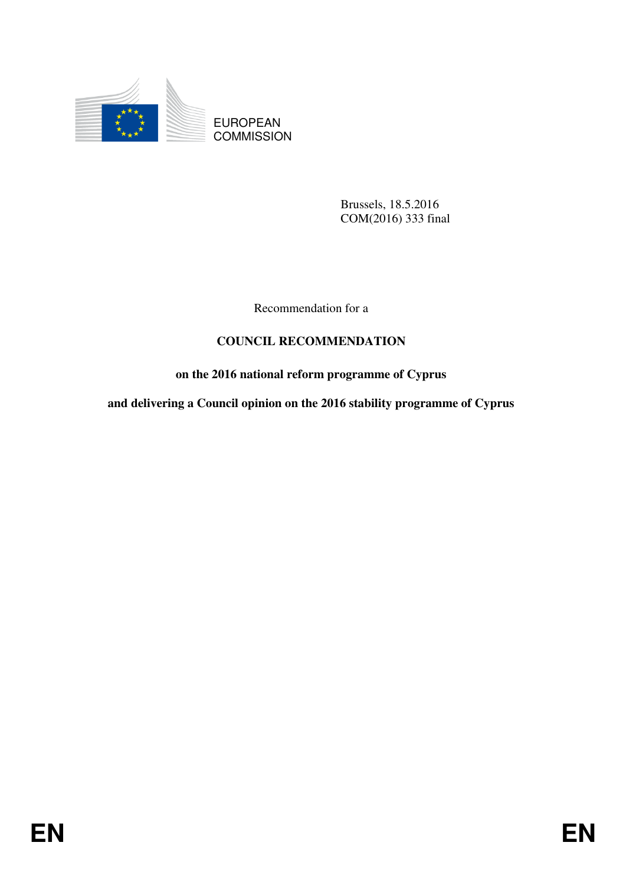

EUROPEAN **COMMISSION** 

> Brussels, 18.5.2016 COM(2016) 333 final

Recommendation for a

## **COUNCIL RECOMMENDATION**

# **on the 2016 national reform programme of Cyprus**

**and delivering a Council opinion on the 2016 stability programme of Cyprus**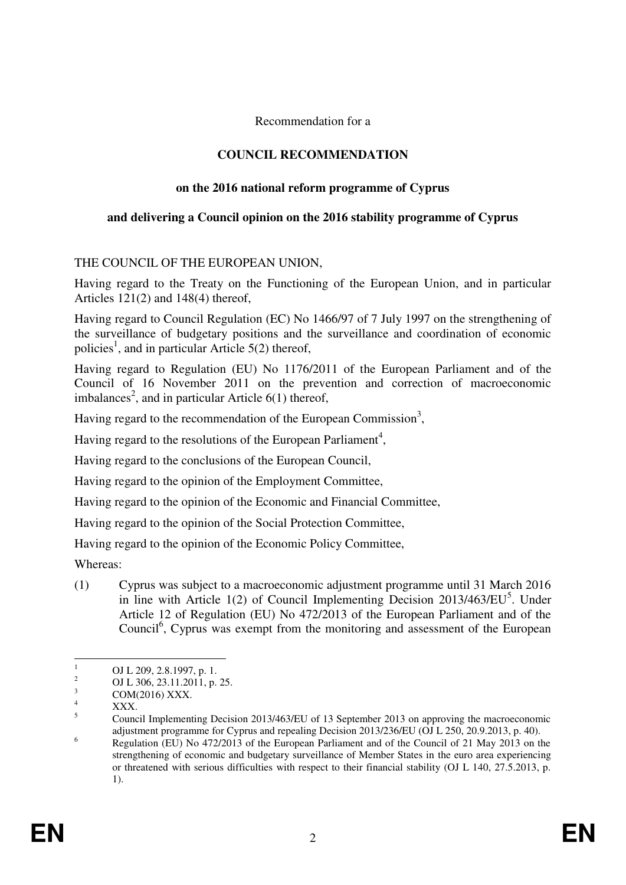Recommendation for a

## **COUNCIL RECOMMENDATION**

## **on the 2016 national reform programme of Cyprus**

#### **and delivering a Council opinion on the 2016 stability programme of Cyprus**

#### THE COUNCIL OF THE EUROPEAN UNION,

Having regard to the Treaty on the Functioning of the European Union, and in particular Articles 121(2) and 148(4) thereof,

Having regard to Council Regulation (EC) No 1466/97 of 7 July 1997 on the strengthening of the surveillance of budgetary positions and the surveillance and coordination of economic policies<sup>1</sup>, and in particular Article 5(2) thereof,

Having regard to Regulation (EU) No 1176/2011 of the European Parliament and of the Council of 16 November 2011 on the prevention and correction of macroeconomic imbalances<sup>2</sup>, and in particular Article  $6(1)$  thereof,

Having regard to the recommendation of the European Commission<sup>3</sup>,

Having regard to the resolutions of the European Parliament<sup>4</sup>,

Having regard to the conclusions of the European Council,

Having regard to the opinion of the Employment Committee,

Having regard to the opinion of the Economic and Financial Committee,

Having regard to the opinion of the Social Protection Committee,

Having regard to the opinion of the Economic Policy Committee,

Whereas:

(1) Cyprus was subject to a macroeconomic adjustment programme until 31 March 2016 in line with Article 1(2) of Council Implementing Decision 2013/463/EU<sup>5</sup>. Under Article 12 of Regulation (EU) No 472/2013 of the European Parliament and of the Council<sup>6</sup>, Cyprus was exempt from the monitoring and assessment of the European

 $\frac{1}{1}$ OJ L 209, 2.8.1997, p. 1.

<sup>2</sup> OJ L 306, 23.11.2011, p. 25. 3

 $\frac{3}{4}$  COM(2016) XXX.

XXX.

<sup>5</sup> Council Implementing Decision 2013/463/EU of 13 September 2013 on approving the macroeconomic adjustment programme for Cyprus and repealing Decision 2013/236/EU (OJ L 250, 20.9.2013, p. 40). 6

Regulation (EU) No 472/2013 of the European Parliament and of the Council of 21 May 2013 on the strengthening of economic and budgetary surveillance of Member States in the euro area experiencing or threatened with serious difficulties with respect to their financial stability (OJ L 140, 27.5.2013, p. 1).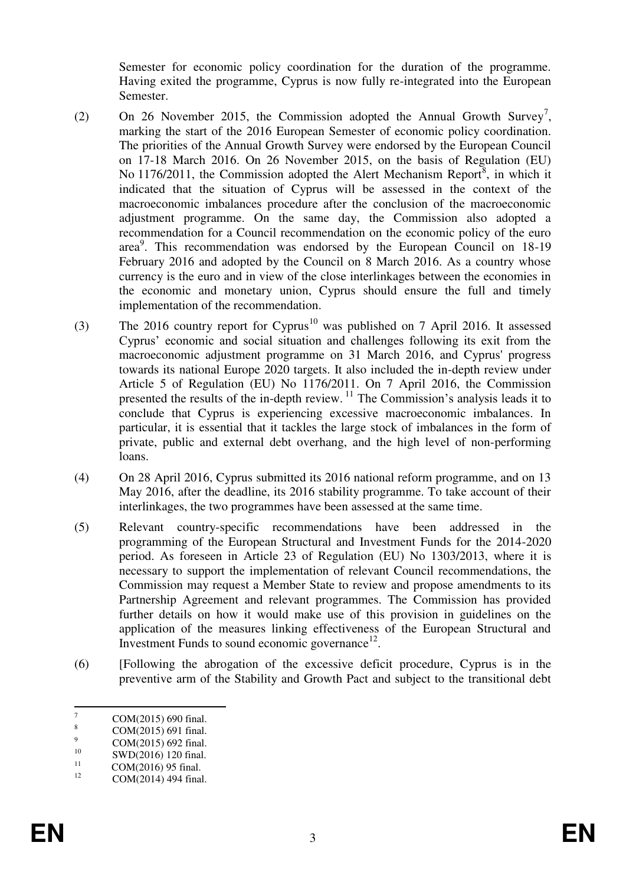Semester for economic policy coordination for the duration of the programme. Having exited the programme, Cyprus is now fully re-integrated into the European Semester.

- (2) On 26 November 2015, the Commission adopted the Annual Growth Survey<sup>7</sup>, marking the start of the 2016 European Semester of economic policy coordination. The priorities of the Annual Growth Survey were endorsed by the European Council on 17-18 March 2016. On 26 November 2015, on the basis of Regulation (EU) No 1176/2011, the Commission adopted the Alert Mechanism Report<sup>8</sup>, in which it indicated that the situation of Cyprus will be assessed in the context of the macroeconomic imbalances procedure after the conclusion of the macroeconomic adjustment programme. On the same day, the Commission also adopted a recommendation for a Council recommendation on the economic policy of the euro area<sup>9</sup>. This recommendation was endorsed by the European Council on 18-19 February 2016 and adopted by the Council on 8 March 2016. As a country whose currency is the euro and in view of the close interlinkages between the economies in the economic and monetary union, Cyprus should ensure the full and timely implementation of the recommendation.
- (3) The 2016 country report for Cyprus<sup>10</sup> was published on 7 April 2016. It assessed Cyprus' economic and social situation and challenges following its exit from the macroeconomic adjustment programme on 31 March 2016, and Cyprus' progress towards its national Europe 2020 targets. It also included the in-depth review under Article 5 of Regulation (EU) No 1176/2011. On 7 April 2016, the Commission presented the results of the in-depth review. <sup>11</sup> The Commission's analysis leads it to conclude that Cyprus is experiencing excessive macroeconomic imbalances. In particular, it is essential that it tackles the large stock of imbalances in the form of private, public and external debt overhang, and the high level of non-performing loans.
- (4) On 28 April 2016, Cyprus submitted its 2016 national reform programme, and on 13 May 2016, after the deadline, its 2016 stability programme. To take account of their interlinkages, the two programmes have been assessed at the same time.
- (5) Relevant country-specific recommendations have been addressed in the programming of the European Structural and Investment Funds for the 2014-2020 period. As foreseen in Article 23 of Regulation (EU) No 1303/2013, where it is necessary to support the implementation of relevant Council recommendations, the Commission may request a Member State to review and propose amendments to its Partnership Agreement and relevant programmes. The Commission has provided further details on how it would make use of this provision in guidelines on the application of the measures linking effectiveness of the European Structural and Investment Funds to sound economic governance $^{12}$ .
- (6) [Following the abrogation of the excessive deficit procedure, Cyprus is in the preventive arm of the Stability and Growth Pact and subject to the transitional debt

 $\frac{1}{7}$ COM(2015) 690 final.

<sup>8</sup> COM(2015) 691 final.

 $\alpha$ <sup>9</sup> COM(2015) 692 final.<br><sup>10</sup> SWD(2016) 120 final

<sup>&</sup>lt;sup>10</sup> SWD(2016) 120 final.<br>
COM(2016) 05 final.

<sup>&</sup>lt;sup>11</sup> COM(2016) 95 final.

COM(2014) 494 final.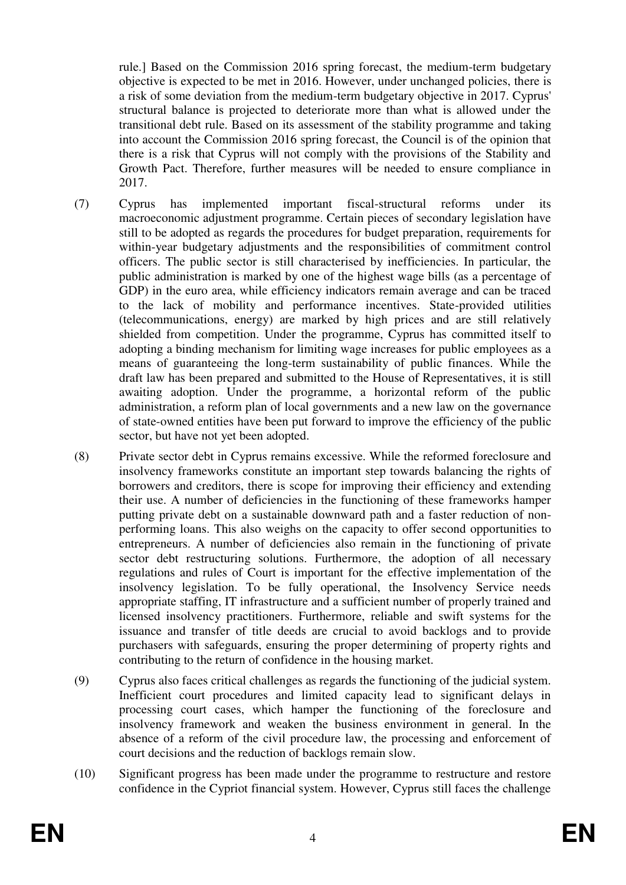rule.] Based on the Commission 2016 spring forecast, the medium-term budgetary objective is expected to be met in 2016. However, under unchanged policies, there is a risk of some deviation from the medium-term budgetary objective in 2017. Cyprus' structural balance is projected to deteriorate more than what is allowed under the transitional debt rule. Based on its assessment of the stability programme and taking into account the Commission 2016 spring forecast, the Council is of the opinion that there is a risk that Cyprus will not comply with the provisions of the Stability and Growth Pact. Therefore, further measures will be needed to ensure compliance in 2017.

- (7) Cyprus has implemented important fiscal-structural reforms under its macroeconomic adjustment programme. Certain pieces of secondary legislation have still to be adopted as regards the procedures for budget preparation, requirements for within-year budgetary adjustments and the responsibilities of commitment control officers. The public sector is still characterised by inefficiencies. In particular, the public administration is marked by one of the highest wage bills (as a percentage of GDP) in the euro area, while efficiency indicators remain average and can be traced to the lack of mobility and performance incentives. State-provided utilities (telecommunications, energy) are marked by high prices and are still relatively shielded from competition. Under the programme, Cyprus has committed itself to adopting a binding mechanism for limiting wage increases for public employees as a means of guaranteeing the long-term sustainability of public finances. While the draft law has been prepared and submitted to the House of Representatives, it is still awaiting adoption. Under the programme, a horizontal reform of the public administration, a reform plan of local governments and a new law on the governance of state-owned entities have been put forward to improve the efficiency of the public sector, but have not yet been adopted.
- (8) Private sector debt in Cyprus remains excessive. While the reformed foreclosure and insolvency frameworks constitute an important step towards balancing the rights of borrowers and creditors, there is scope for improving their efficiency and extending their use. A number of deficiencies in the functioning of these frameworks hamper putting private debt on a sustainable downward path and a faster reduction of nonperforming loans. This also weighs on the capacity to offer second opportunities to entrepreneurs. A number of deficiencies also remain in the functioning of private sector debt restructuring solutions. Furthermore, the adoption of all necessary regulations and rules of Court is important for the effective implementation of the insolvency legislation. To be fully operational, the Insolvency Service needs appropriate staffing, IT infrastructure and a sufficient number of properly trained and licensed insolvency practitioners. Furthermore, reliable and swift systems for the issuance and transfer of title deeds are crucial to avoid backlogs and to provide purchasers with safeguards, ensuring the proper determining of property rights and contributing to the return of confidence in the housing market.
- (9) Cyprus also faces critical challenges as regards the functioning of the judicial system. Inefficient court procedures and limited capacity lead to significant delays in processing court cases, which hamper the functioning of the foreclosure and insolvency framework and weaken the business environment in general. In the absence of a reform of the civil procedure law, the processing and enforcement of court decisions and the reduction of backlogs remain slow.
- (10) Significant progress has been made under the programme to restructure and restore confidence in the Cypriot financial system. However, Cyprus still faces the challenge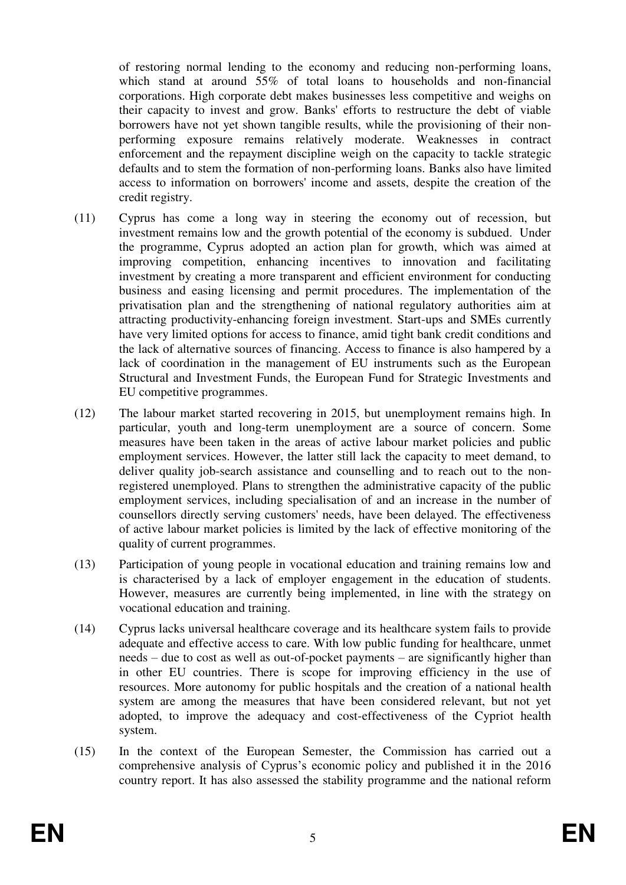of restoring normal lending to the economy and reducing non-performing loans, which stand at around 55% of total loans to households and non-financial corporations. High corporate debt makes businesses less competitive and weighs on their capacity to invest and grow. Banks' efforts to restructure the debt of viable borrowers have not yet shown tangible results, while the provisioning of their nonperforming exposure remains relatively moderate. Weaknesses in contract enforcement and the repayment discipline weigh on the capacity to tackle strategic defaults and to stem the formation of non-performing loans. Banks also have limited access to information on borrowers' income and assets, despite the creation of the credit registry.

- (11) Cyprus has come a long way in steering the economy out of recession, but investment remains low and the growth potential of the economy is subdued. Under the programme, Cyprus adopted an action plan for growth, which was aimed at improving competition, enhancing incentives to innovation and facilitating investment by creating a more transparent and efficient environment for conducting business and easing licensing and permit procedures. The implementation of the privatisation plan and the strengthening of national regulatory authorities aim at attracting productivity-enhancing foreign investment. Start-ups and SMEs currently have very limited options for access to finance, amid tight bank credit conditions and the lack of alternative sources of financing. Access to finance is also hampered by a lack of coordination in the management of EU instruments such as the European Structural and Investment Funds, the European Fund for Strategic Investments and EU competitive programmes.
- (12) The labour market started recovering in 2015, but unemployment remains high. In particular, youth and long-term unemployment are a source of concern. Some measures have been taken in the areas of active labour market policies and public employment services. However, the latter still lack the capacity to meet demand, to deliver quality job-search assistance and counselling and to reach out to the nonregistered unemployed. Plans to strengthen the administrative capacity of the public employment services, including specialisation of and an increase in the number of counsellors directly serving customers' needs, have been delayed. The effectiveness of active labour market policies is limited by the lack of effective monitoring of the quality of current programmes.
- (13) Participation of young people in vocational education and training remains low and is characterised by a lack of employer engagement in the education of students. However, measures are currently being implemented, in line with the strategy on vocational education and training.
- (14) Cyprus lacks universal healthcare coverage and its healthcare system fails to provide adequate and effective access to care. With low public funding for healthcare, unmet needs – due to cost as well as out-of-pocket payments – are significantly higher than in other EU countries. There is scope for improving efficiency in the use of resources. More autonomy for public hospitals and the creation of a national health system are among the measures that have been considered relevant, but not yet adopted, to improve the adequacy and cost-effectiveness of the Cypriot health system.
- (15) In the context of the European Semester, the Commission has carried out a comprehensive analysis of Cyprus's economic policy and published it in the 2016 country report. It has also assessed the stability programme and the national reform